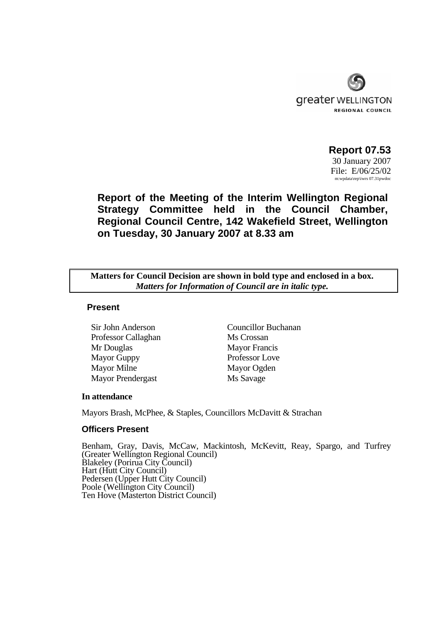

 **Report 07.53**  30 January 2007 File: E/06/25/02

m:wpdata\rep\iwrs 07.31pwdoc

**Report of the Meeting of the Interim Wellington Regional Strategy Committee held in the Council Chamber, Regional Council Centre, 142 Wakefield Street, Wellington on Tuesday, 30 January 2007 at 8.33 am** 

**Matters for Council Decision are shown in bold type and enclosed in a box.**  *Matters for Information of Council are in italic type.* 

### **Present**

Professor Callaghan Ms Crossan Mr Douglas Mayor Francis Mayor Guppy Professor Love Mayor Milne Mayor Ogden Mayor Prendergast Ms Savage

Sir John Anderson Councillor Buchanan

### **In attendance**

Mayors Brash, McPhee, & Staples, Councillors McDavitt & Strachan

### **Officers Present**

Benham, Gray, Davis, McCaw, Mackintosh, McKevitt, Reay, Spargo, and Turfrey (Greater Wellington Regional Council) Blakeley (Porirua City Council) Hart (Hutt City Council) Pedersen (Upper Hutt City Council) Poole (Wellington City Council) Ten Hove (Masterton District Council)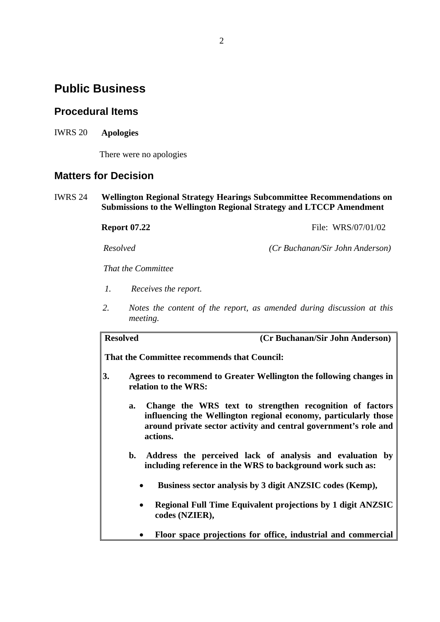# **Public Business**

# **Procedural Items**

IWRS 20 **Apologies**

There were no apologies

## **Matters for Decision**

IWRS 24 **Wellington Regional Strategy Hearings Subcommittee Recommendations on Submissions to the Wellington Regional Strategy and LTCCP Amendment** 

**Report 07.22 File: WRS/07/01/02** 

*Resolved (Cr Buchanan/Sir John Anderson)*

*That the Committee* 

- *1. Receives the report.*
- *2. Notes the content of the report, as amended during discussion at this meeting.*

| <b>Resolved</b>                             |    | (Cr Buchanan/Sir John Anderson)                                                                                                                                                                             |  |  |
|---------------------------------------------|----|-------------------------------------------------------------------------------------------------------------------------------------------------------------------------------------------------------------|--|--|
| That the Committee recommends that Council: |    |                                                                                                                                                                                                             |  |  |
| 3.                                          |    | Agrees to recommend to Greater Wellington the following changes in<br>relation to the WRS:                                                                                                                  |  |  |
|                                             | a. | Change the WRS text to strengthen recognition of factors<br>influencing the Wellington regional economy, particularly those<br>around private sector activity and central government's role and<br>actions. |  |  |
|                                             | b. | Address the perceived lack of analysis and evaluation by<br>including reference in the WRS to background work such as:                                                                                      |  |  |
|                                             |    | Business sector analysis by 3 digit ANZSIC codes (Kemp),                                                                                                                                                    |  |  |
|                                             |    | <b>Regional Full Time Equivalent projections by 1 digit ANZSIC</b><br>codes (NZIER),                                                                                                                        |  |  |
|                                             |    | Floor space projections for office, industrial and commercial                                                                                                                                               |  |  |
|                                             |    |                                                                                                                                                                                                             |  |  |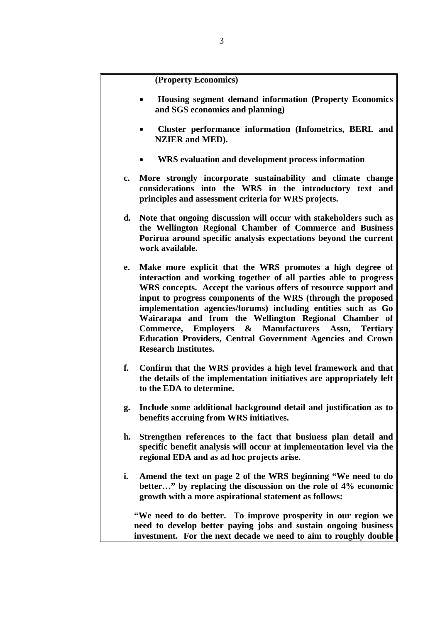**(Property Economics)** 

- • **Housing segment demand information (Property Economics and SGS economics and planning)**
- • **Cluster performance information (Infometrics, BERL and NZIER and MED).**
- • **WRS evaluation and development process information**
- **c. More strongly incorporate sustainability and climate change considerations into the WRS in the introductory text and principles and assessment criteria for WRS projects.**
- **d. Note that ongoing discussion will occur with stakeholders such as the Wellington Regional Chamber of Commerce and Business Porirua around specific analysis expectations beyond the current work available.**
- **e. Make more explicit that the WRS promotes a high degree of interaction and working together of all parties able to progress WRS concepts. Accept the various offers of resource support and input to progress components of the WRS (through the proposed implementation agencies/forums) including entities such as Go Wairarapa and from the Wellington Regional Chamber of Commerce, Employers & Manufacturers Assn, Tertiary Education Providers, Central Government Agencies and Crown Research Institutes.**
- **f. Confirm that the WRS provides a high level framework and that the details of the implementation initiatives are appropriately left to the EDA to determine.**
- **g. Include some additional background detail and justification as to benefits accruing from WRS initiatives.**
- **h. Strengthen references to the fact that business plan detail and specific benefit analysis will occur at implementation level via the regional EDA and as ad hoc projects arise.**
- **i. Amend the text on page 2 of the WRS beginning "We need to do better…" by replacing the discussion on the role of 4% economic growth with a more aspirational statement as follows:**

 **"We need to do better. To improve prosperity in our region we need to develop better paying jobs and sustain ongoing business investment. For the next decade we need to aim to roughly double**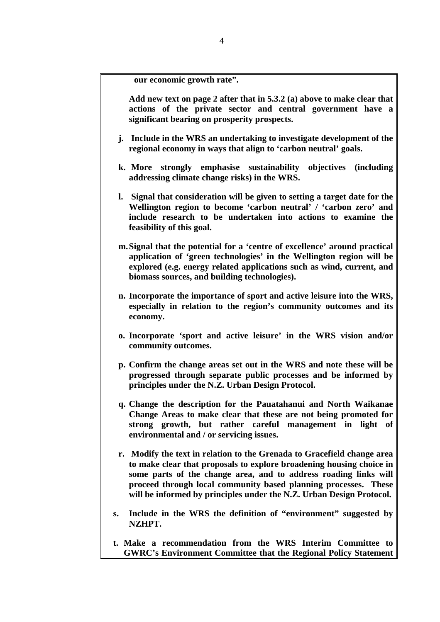**our economic growth rate".** 

 **Add new text on page 2 after that in 5.3.2 (a) above to make clear that actions of the private sector and central government have a significant bearing on prosperity prospects.** 

- **j. Include in the WRS an undertaking to investigate development of the regional economy in ways that align to 'carbon neutral' goals.**
- **k. More strongly emphasise sustainability objectives (including addressing climate change risks) in the WRS.**
- **l. Signal that consideration will be given to setting a target date for the Wellington region to become 'carbon neutral' / 'carbon zero' and include research to be undertaken into actions to examine the feasibility of this goal.**
- **m.Signal that the potential for a 'centre of excellence' around practical application of 'green technologies' in the Wellington region will be explored (e.g. energy related applications such as wind, current, and biomass sources, and building technologies).**
- **n. Incorporate the importance of sport and active leisure into the WRS, especially in relation to the region's community outcomes and its economy.**
- **o. Incorporate 'sport and active leisure' in the WRS vision and/or community outcomes.**
- **p. Confirm the change areas set out in the WRS and note these will be progressed through separate public processes and be informed by principles under the N.Z. Urban Design Protocol.**
- **q. Change the description for the Pauatahanui and North Waikanae Change Areas to make clear that these are not being promoted for strong growth, but rather careful management in light of environmental and / or servicing issues.**
- **r. Modify the text in relation to the Grenada to Gracefield change area to make clear that proposals to explore broadening housing choice in some parts of the change area, and to address roading links will proceed through local community based planning processes. These will be informed by principles under the N.Z. Urban Design Protocol.**
- **s. Include in the WRS the definition of "environment" suggested by NZHPT.**
- **t. Make a recommendation from the WRS Interim Committee to GWRC's Environment Committee that the Regional Policy Statement**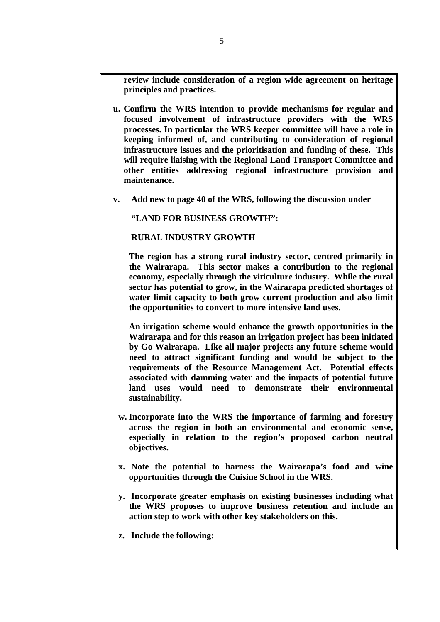**review include consideration of a region wide agreement on heritage principles and practices.** 

- **u. Confirm the WRS intention to provide mechanisms for regular and focused involvement of infrastructure providers with the WRS processes. In particular the WRS keeper committee will have a role in keeping informed of, and contributing to consideration of regional infrastructure issues and the prioritisation and funding of these. This will require liaising with the Regional Land Transport Committee and other entities addressing regional infrastructure provision and maintenance.**
- **v. Add new to page 40 of the WRS, following the discussion under**

 **"LAND FOR BUSINESS GROWTH":** 

### **RURAL INDUSTRY GROWTH**

 **The region has a strong rural industry sector, centred primarily in the Wairarapa. This sector makes a contribution to the regional economy, especially through the viticulture industry. While the rural sector has potential to grow, in the Wairarapa predicted shortages of water limit capacity to both grow current production and also limit the opportunities to convert to more intensive land uses.** 

 **An irrigation scheme would enhance the growth opportunities in the Wairarapa and for this reason an irrigation project has been initiated by Go Wairarapa. Like all major projects any future scheme would need to attract significant funding and would be subject to the requirements of the Resource Management Act. Potential effects associated with damming water and the impacts of potential future land uses would need to demonstrate their environmental sustainability.** 

- **w. Incorporate into the WRS the importance of farming and forestry across the region in both an environmental and economic sense, especially in relation to the region's proposed carbon neutral objectives.**
- **x. Note the potential to harness the Wairarapa's food and wine opportunities through the Cuisine School in the WRS.**
- **y. Incorporate greater emphasis on existing businesses including what the WRS proposes to improve business retention and include an action step to work with other key stakeholders on this.**
- **z. Include the following:**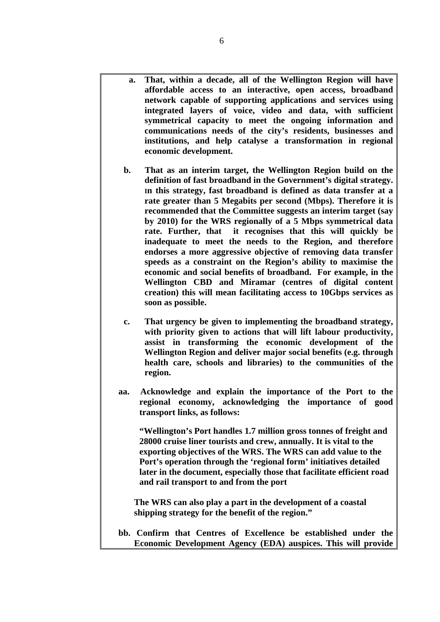- **a. That, within a decade, all of the Wellington Region will have affordable access to an interactive, open access, broadband network capable of supporting applications and services using integrated layers of voice, video and data, with sufficient symmetrical capacity to meet the ongoing information and communications needs of the city's residents, businesses and institutions, and help catalyse a transformation in regional economic development.**
- **b. That as an interim target, the Wellington Region build on the definition of fast broadband in the Government's digital strategy. In this strategy, fast broadband is defined as data transfer at a rate greater than 5 Megabits per second (Mbps). Therefore it is recommended that the Committee suggests an interim target (say by 2010) for the WRS regionally of a 5 Mbps symmetrical data rate. Further, that it recognises that this will quickly be inadequate to meet the needs to the Region, and therefore endorses a more aggressive objective of removing data transfer speeds as a constraint on the Region's ability to maximise the economic and social benefits of broadband. For example, in the Wellington CBD and Miramar (centres of digital content creation) this will mean facilitating access to 10Gbps services as soon as possible.**
- **c. That urgency be given to implementing the broadband strategy, with priority given to actions that will lift labour productivity, assist in transforming the economic development of the Wellington Region and deliver major social benefits (e.g. through health care, schools and libraries) to the communities of the region.**
- **aa. Acknowledge and explain the importance of the Port to the regional economy, acknowledging the importance of good transport links, as follows:**

 **"Wellington's Port handles 1.7 million gross tonnes of freight and 28000 cruise liner tourists and crew, annually. It is vital to the exporting objectives of the WRS. The WRS can add value to the Port's operation through the 'regional form' initiatives detailed later in the document, especially those that facilitate efficient road and rail transport to and from the port** 

 **The WRS can also play a part in the development of a coastal shipping strategy for the benefit of the region."** 

**bb. Confirm that Centres of Excellence be established under the Economic Development Agency (EDA) auspices. This will provide**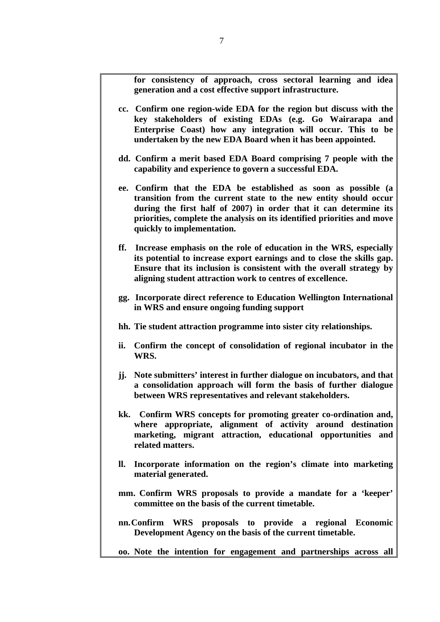**for consistency of approach, cross sectoral learning and idea generation and a cost effective support infrastructure.** 

- **cc. Confirm one region-wide EDA for the region but discuss with the key stakeholders of existing EDAs (e.g. Go Wairarapa and Enterprise Coast) how any integration will occur. This to be undertaken by the new EDA Board when it has been appointed.**
- **dd. Confirm a merit based EDA Board comprising 7 people with the capability and experience to govern a successful EDA.**
- **ee. Confirm that the EDA be established as soon as possible (a transition from the current state to the new entity should occur during the first half of 2007) in order that it can determine its priorities, complete the analysis on its identified priorities and move quickly to implementation.**
- **ff. Increase emphasis on the role of education in the WRS, especially its potential to increase export earnings and to close the skills gap. Ensure that its inclusion is consistent with the overall strategy by aligning student attraction work to centres of excellence.**
- **gg. Incorporate direct reference to Education Wellington International in WRS and ensure ongoing funding support**
- **hh. Tie student attraction programme into sister city relationships.**
- **ii. Confirm the concept of consolidation of regional incubator in the WRS.**
- **jj. Note submitters' interest in further dialogue on incubators, and that a consolidation approach will form the basis of further dialogue between WRS representatives and relevant stakeholders.**
- **kk. Confirm WRS concepts for promoting greater co-ordination and, where appropriate, alignment of activity around destination marketing, migrant attraction, educational opportunities and related matters.**
- **ll. Incorporate information on the region's climate into marketing material generated.**
- **mm. Confirm WRS proposals to provide a mandate for a 'keeper' committee on the basis of the current timetable.**
- **nn.Confirm WRS proposals to provide a regional Economic Development Agency on the basis of the current timetable.**

**oo. Note the intention for engagement and partnerships across all**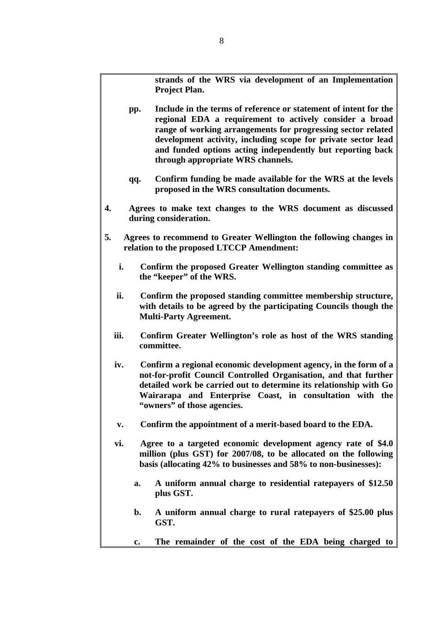**strands of the WRS via development of an Implementation Project Plan.** 

- **pp. Include in the terms of reference or statement of intent for the regional EDA a requirement to actively consider a broad range of working arrangements for progressing sector related development activity, including scope for private sector lead and funded options acting independently but reporting back through appropriate WRS channels.**
- **qq. Confirm funding be made available for the WRS at the levels proposed in the WRS consultation documents.**
- **4. Agrees to make text changes to the WRS document as discussed during consideration.**
- **5. Agrees to recommend to Greater Wellington the following changes in relation to the proposed LTCCP Amendment:** 
	- **i. Confirm the proposed Greater Wellington standing committee as the "keeper" of the WRS.**
	- **ii. Confirm the proposed standing committee membership structure, with details to be agreed by the participating Councils though the Multi-Party Agreement.**
	- **iii. Confirm Greater Wellington's role as host of the WRS standing committee.**
	- **iv. Confirm a regional economic development agency, in the form of a not-for-profit Council Controlled Organisation, and that further detailed work be carried out to determine its relationship with Go Wairarapa and Enterprise Coast, in consultation with the "owners" of those agencies.**
	- **v. Confirm the appointment of a merit-based board to the EDA.**
	- **vi. Agree to a targeted economic development agency rate of \$4.0 million (plus GST) for 2007/08, to be allocated on the following basis (allocating 42% to businesses and 58% to non-businesses):** 
		- **a. A uniform annual charge to residential ratepayers of \$12.50 plus GST.**
		- **b. A uniform annual charge to rural ratepayers of \$25.00 plus GST.**
		- **c. The remainder of the cost of the EDA being charged to**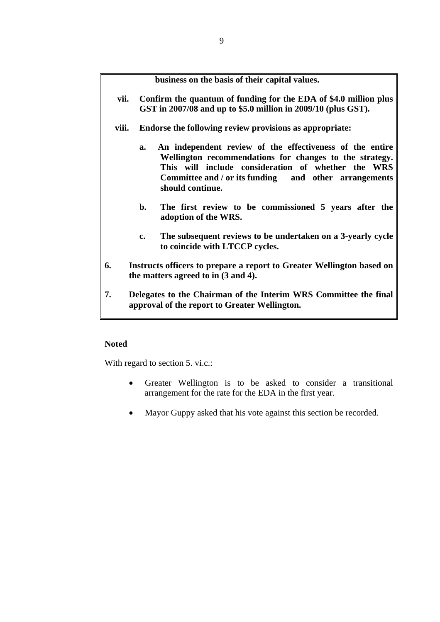**business on the basis of their capital values.** 

- **vii. Confirm the quantum of funding for the EDA of \$4.0 million plus GST in 2007/08 and up to \$5.0 million in 2009/10 (plus GST).**
- **viii. Endorse the following review provisions as appropriate:** 
	- **a. An independent review of the effectiveness of the entire Wellington recommendations for changes to the strategy. This will include consideration of whether the WRS Committee and / or its funding and other arrangements should continue.**
	- **b. The first review to be commissioned 5 years after the adoption of the WRS.**
	- **c. The subsequent reviews to be undertaken on a 3-yearly cycle to coincide with LTCCP cycles.**
- **6. Instructs officers to prepare a report to Greater Wellington based on the matters agreed to in (3 and 4).**
- **7. Delegates to the Chairman of the Interim WRS Committee the final approval of the report to Greater Wellington.**

### **Noted**

With regard to section 5. vi.c.:

- Greater Wellington is to be asked to consider a transitional arrangement for the rate for the EDA in the first year.
- Mayor Guppy asked that his vote against this section be recorded.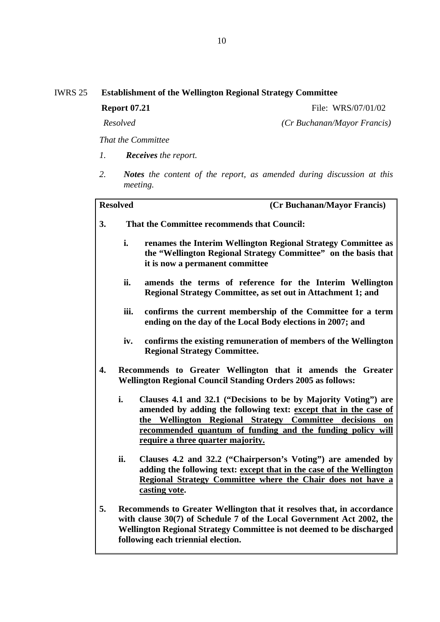**Report 07.21 File: WRS/07/01/02** 

*Resolved (Cr Buchanan/Mayor Francis)*

*That the Committee* 

- *1. Receives the report.*
- *2. Notes the content of the report, as amended during discussion at this meeting.*

| <b>Resolved</b>  |                                                                                                                                    | (Cr Buchanan/Mayor Francis)                                                                                                                                                                                                                                                                          |
|------------------|------------------------------------------------------------------------------------------------------------------------------------|------------------------------------------------------------------------------------------------------------------------------------------------------------------------------------------------------------------------------------------------------------------------------------------------------|
| 3.               |                                                                                                                                    | That the Committee recommends that Council:                                                                                                                                                                                                                                                          |
|                  | i.                                                                                                                                 | renames the Interim Wellington Regional Strategy Committee as<br>the "Wellington Regional Strategy Committee" on the basis that<br>it is now a permanent committee                                                                                                                                   |
|                  | ii.                                                                                                                                | amends the terms of reference for the Interim Wellington<br>Regional Strategy Committee, as set out in Attachment 1; and                                                                                                                                                                             |
|                  | iii.                                                                                                                               | confirms the current membership of the Committee for a term<br>ending on the day of the Local Body elections in 2007; and                                                                                                                                                                            |
|                  | iv.                                                                                                                                | confirms the existing remuneration of members of the Wellington<br><b>Regional Strategy Committee.</b>                                                                                                                                                                                               |
| $\overline{4}$ . | Recommends to Greater Wellington that it amends the Greater<br><b>Wellington Regional Council Standing Orders 2005 as follows:</b> |                                                                                                                                                                                                                                                                                                      |
|                  | i.                                                                                                                                 | Clauses 4.1 and 32.1 ("Decisions to be by Majority Voting") are<br>amended by adding the following text: except that in the case of<br>the Wellington Regional Strategy Committee decisions<br>on<br>recommended quantum of funding and the funding policy will<br>require a three quarter majority. |
|                  | ii.                                                                                                                                | Clauses 4.2 and 32.2 ("Chairperson's Voting") are amended by<br>adding the following text: except that in the case of the Wellington<br>Regional Strategy Committee where the Chair does not have a<br>casting vote.                                                                                 |
| 5.               |                                                                                                                                    | Recommends to Greater Wellington that it resolves that, in accordance<br>with clause 30(7) of Schedule 7 of the Local Government Act 2002, the<br>Wellington Regional Strategy Committee is not deemed to be discharged<br>following each triennial election.                                        |